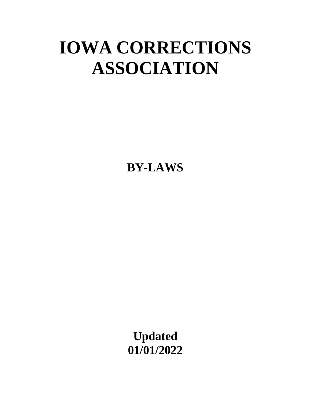# **IOWA CORRECTIONS ASSOCIATION**

**BY-LAWS**

**Updated 01/01/2022**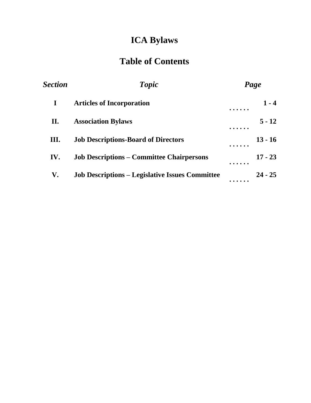# **ICA Bylaws**

# **Table of Contents**

| Section<br>$\bf{I}$ | <b>Topic</b><br><b>Articles of Incorporation</b>       | Page |           |
|---------------------|--------------------------------------------------------|------|-----------|
|                     |                                                        |      | $1 - 4$   |
| II.                 | <b>Association Bylaws</b>                              |      | $5 - 12$  |
| III.                | <b>Job Descriptions-Board of Directors</b>             |      | $13 - 16$ |
| IV.                 | <b>Job Descriptions – Committee Chairpersons</b>       |      | $17 - 23$ |
| V.                  | <b>Job Descriptions – Legislative Issues Committee</b> |      | $24 - 25$ |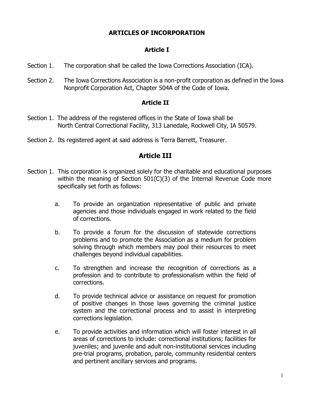# **ARTICLES OF INCORPORATION**

# **Article I**

- Section 1. The corporation shall be called the Iowa Corrections Association (ICA).
- Section 2. The Iowa Corrections Association is a non-profit corporation as defined in the Iowa Nonprofit Corporation Act, Chapter 504A of the Code of Iowa.

#### **Article II**

- Section 1. The address of the registered offices in the State of Iowa shall be North Central Correctional Facility, 313 Lanedale, Rockwell City, IA 50579.
- Section 2. Its registered agent at said address is Terra Barrett, Treasurer.

# **Article III**

- Section 1. This corporation is organized solely for the charitable and educational purposes within the meaning of Section 501(C)(3) of the Internal Revenue Code more specifically set forth as follows:
	- a. To provide an organization representative of public and private agencies and those individuals engaged in work related to the field of corrections.
	- b. To provide a forum for the discussion of statewide corrections problems and to promote the Association as a medium for problem solving through which members may pool their resources to meet challenges beyond individual capabilities.
	- c. To strengthen and increase the recognition of corrections as a profession and to contribute to professionalism within the field of corrections.
	- d. To provide technical advice or assistance on request for promotion of positive changes in those laws governing the criminal justice system and the correctional process and to assist in interpreting corrections legislation.
	- e. To provide activities and information which will foster interest in all areas of corrections to include: correctional institutions; facilities for juveniles; and juvenile and adult non-institutional services including pre-trial programs, probation, parole, community residential centers and pertinent ancillary services and programs.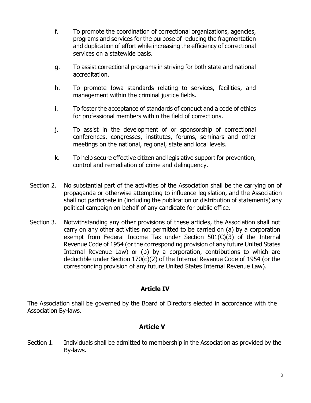- f. To promote the coordination of correctional organizations, agencies, programs and services for the purpose of reducing the fragmentation and duplication of effort while increasing the efficiency of correctional services on a statewide basis.
- g. To assist correctional programs in striving for both state and national accreditation.
- h. To promote Iowa standards relating to services, facilities, and management within the criminal justice fields.
- i. To foster the acceptance of standards of conduct and a code of ethics for professional members within the field of corrections.
- j. To assist in the development of or sponsorship of correctional conferences, congresses, institutes, forums, seminars and other meetings on the national, regional, state and local levels.
- k. To help secure effective citizen and legislative support for prevention, control and remediation of crime and delinquency.
- Section 2. No substantial part of the activities of the Association shall be the carrying on of propaganda or otherwise attempting to influence legislation, and the Association shall not participate in (including the publication or distribution of statements) any political campaign on behalf of any candidate for public office.
- Section 3. Notwithstanding any other provisions of these articles, the Association shall not carry on any other activities not permitted to be carried on (a) by a corporation exempt from Federal Income Tax under Section 501(C)(3) of the Internal Revenue Code of 1954 (or the corresponding provision of any future United States Internal Revenue Law) or (b) by a corporation, contributions to which are deductible under Section 170(c)(2) of the Internal Revenue Code of 1954 (or the corresponding provision of any future United States Internal Revenue Law).

# **Article IV**

The Association shall be governed by the Board of Directors elected in accordance with the Association By-laws.

# **Article V**

Section 1. Individuals shall be admitted to membership in the Association as provided by the By-laws.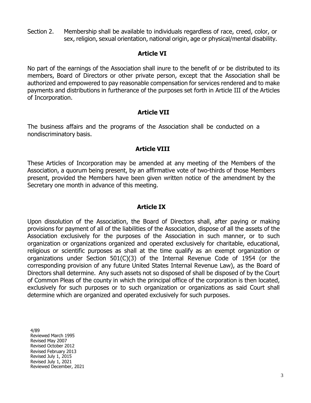Section 2. Membership shall be available to individuals regardless of race, creed, color, or sex, religion, sexual orientation, national origin, age or physical/mental disability.

# **Article VI**

No part of the earnings of the Association shall inure to the benefit of or be distributed to its members, Board of Directors or other private person, except that the Association shall be authorized and empowered to pay reasonable compensation for services rendered and to make payments and distributions in furtherance of the purposes set forth in Article III of the Articles of Incorporation.

# **Article VII**

The business affairs and the programs of the Association shall be conducted on a nondiscriminatory basis.

# **Article VIII**

These Articles of Incorporation may be amended at any meeting of the Members of the Association, a quorum being present, by an affirmative vote of two-thirds of those Members present, provided the Members have been given written notice of the amendment by the Secretary one month in advance of this meeting.

# **Article IX**

Upon dissolution of the Association, the Board of Directors shall, after paying or making provisions for payment of all of the liabilities of the Association, dispose of all the assets of the Association exclusively for the purposes of the Association in such manner, or to such organization or organizations organized and operated exclusively for charitable, educational, religious or scientific purposes as shall at the time qualify as an exempt organization or organizations under Section 501(C)(3) of the Internal Revenue Code of 1954 (or the corresponding provision of any future United States Internal Revenue Law), as the Board of Directors shall determine. Any such assets not so disposed of shall be disposed of by the Court of Common Pleas of the county in which the principal office of the corporation is then located, exclusively for such purposes or to such organization or organizations as said Court shall determine which are organized and operated exclusively for such purposes.

4/89 Reviewed March 1995 Revised May 2007 Revised October 2012 Revised February 2013 Revised July 1, 2015 Revised July 1, 2021 Reviewed December, 2021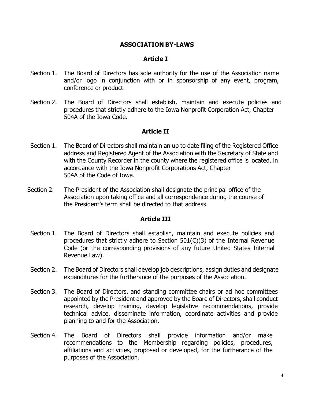#### **ASSOCIATION BY-LAWS**

#### **Article I**

- Section 1. The Board of Directors has sole authority for the use of the Association name and/or logo in conjunction with or in sponsorship of any event, program, conference or product.
- Section 2. The Board of Directors shall establish, maintain and execute policies and procedures that strictly adhere to the Iowa Nonprofit Corporation Act, Chapter 504A of the Iowa Code.

#### **Article II**

- Section 1. The Board of Directors shall maintain an up to date filing of the Registered Office address and Registered Agent of the Association with the Secretary of State and with the County Recorder in the county where the registered office is located, in accordance with the Iowa Nonprofit Corporations Act, Chapter 504A of the Code of Iowa.
- Section 2. The President of the Association shall designate the principal office of the Association upon taking office and all correspondence during the course of the President's term shall be directed to that address.

#### **Article III**

- Section 1. The Board of Directors shall establish, maintain and execute policies and procedures that strictly adhere to Section 501(C)(3) of the Internal Revenue Code (or the corresponding provisions of any future United States Internal Revenue Law).
- Section 2. The Board of Directors shall develop job descriptions, assign duties and designate expenditures for the furtherance of the purposes of the Association.
- Section 3. The Board of Directors, and standing committee chairs or ad hoc committees appointed by the President and approved by the Board of Directors, shall conduct research, develop training, develop legislative recommendations, provide technical advice, disseminate information, coordinate activities and provide planning to and for the Association.
- Section 4. The Board of Directors shall provide information and/or make recommendations to the Membership regarding policies, procedures, affiliations and activities, proposed or developed, for the furtherance of the purposes of the Association.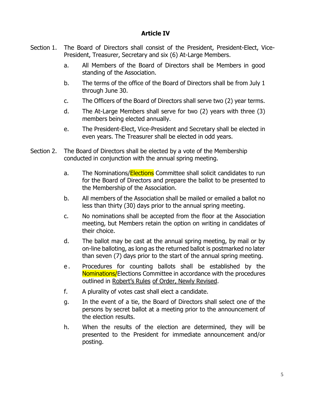# **Article IV**

- Section 1. The Board of Directors shall consist of the President, President-Elect, Vice-President, Treasurer, Secretary and six (6) At-Large Members.
	- a. All Members of the Board of Directors shall be Members in good standing of the Association.
	- b. The terms of the office of the Board of Directors shall be from July 1 through June 30.
	- c. The Officers of the Board of Directors shall serve two (2) year terms.
	- d. The At-Large Members shall serve for two (2) years with three (3) members being elected annually.
	- e. The President-Elect, Vice-President and Secretary shall be elected in even years. The Treasurer shall be elected in odd years.
- Section 2. The Board of Directors shall be elected by a vote of the Membership conducted in conjunction with the annual spring meeting.
	- a. The Nominations/**Elections** Committee shall solicit candidates to run for the Board of Directors and prepare the ballot to be presented to the Membership of the Association.
	- b. All members of the Association shall be mailed or emailed a ballot no less than thirty (30) days prior to the annual spring meeting.
	- c. No nominations shall be accepted from the floor at the Association meeting, but Members retain the option on writing in candidates of their choice.
	- d. The ballot may be cast at the annual spring meeting, by mail or by on-line balloting, as long as the returned ballot is postmarked no later than seven (7) days prior to the start of the annual spring meeting.
	- e. Procedures for counting ballots shall be established by the Nominations/Elections Committee in accordance with the procedures outlined in Robert's Rules of Order, Newly Revised.
	- f. A plurality of votes cast shall elect a candidate.
	- g. In the event of a tie, the Board of Directors shall select one of the persons by secret ballot at a meeting prior to the announcement of the election results.
	- h. When the results of the election are determined, they will be presented to the President for immediate announcement and/or posting.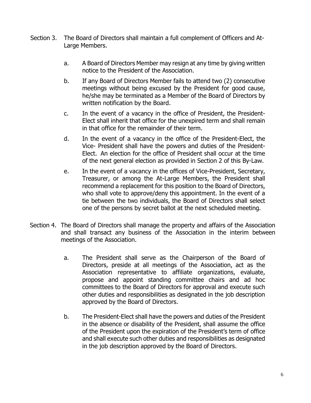- Section 3. The Board of Directors shall maintain a full complement of Officers and At-Large Members.
	- a. A Board of Directors Member may resign at any time by giving written notice to the President of the Association.
	- b. If any Board of Directors Member fails to attend two (2) consecutive meetings without being excused by the President for good cause, he/she may be terminated as a Member of the Board of Directors by written notification by the Board.
	- c. In the event of a vacancy in the office of President, the President-Elect shall inherit that office for the unexpired term and shall remain in that office for the remainder of their term.
	- d. In the event of a vacancy in the office of the President-Elect, the Vice- President shall have the powers and duties of the President-Elect. An election for the office of President shall occur at the time of the next general election as provided in Section 2 of this By-Law.
	- e. In the event of a vacancy in the offices of Vice-President, Secretary, Treasurer, or among the At-Large Members, the President shall recommend a replacement for this position to the Board of Directors, who shall vote to approve/deny this appointment. In the event of a tie between the two individuals, the Board of Directors shall select one of the persons by secret ballot at the next scheduled meeting.
- Section 4. The Board of Directors shall manage the property and affairs of the Association and shall transact any business of the Association in the interim between meetings of the Association.
	- a. The President shall serve as the Chairperson of the Board of Directors, preside at all meetings of the Association, act as the Association representative to affiliate organizations, evaluate, propose and appoint standing committee chairs and ad hoc committees to the Board of Directors for approval and execute such other duties and responsibilities as designated in the job description approved by the Board of Directors.
	- b. The President-Elect shall have the powers and duties of the President in the absence or disability of the President, shall assume the office of the President upon the expiration of the President's term of office and shall execute such other duties and responsibilities as designated in the job description approved by the Board of Directors.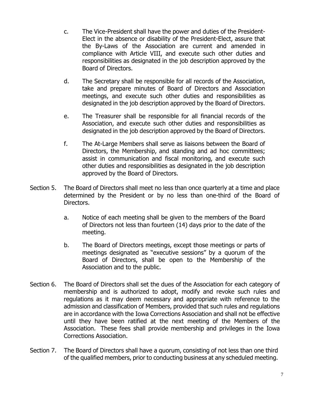- c. The Vice-President shall have the power and duties of the President-Elect in the absence or disability of the President-Elect, assure that the By-Laws of the Association are current and amended in compliance with Article VIII, and execute such other duties and responsibilities as designated in the job description approved by the Board of Directors.
- d. The Secretary shall be responsible for all records of the Association, take and prepare minutes of Board of Directors and Association meetings, and execute such other duties and responsibilities as designated in the job description approved by the Board of Directors.
- e. The Treasurer shall be responsible for all financial records of the Association, and execute such other duties and responsibilities as designated in the job description approved by the Board of Directors.
- f. The At-Large Members shall serve as liaisons between the Board of Directors, the Membership, and standing and ad hoc committees; assist in communication and fiscal monitoring, and execute such other duties and responsibilities as designated in the job description approved by the Board of Directors.
- Section 5. The Board of Directors shall meet no less than once quarterly at a time and place determined by the President or by no less than one-third of the Board of Directors.
	- a. Notice of each meeting shall be given to the members of the Board of Directors not less than fourteen (14) days prior to the date of the meeting.
	- b. The Board of Directors meetings, except those meetings or parts of meetings designated as "executive sessions" by a quorum of the Board of Directors, shall be open to the Membership of the Association and to the public.
- Section 6. The Board of Directors shall set the dues of the Association for each category of membership and is authorized to adopt, modify and revoke such rules and regulations as it may deem necessary and appropriate with reference to the admission and classification of Members, provided that such rules and regulations are in accordance with the Iowa Corrections Association and shall not be effective until they have been ratified at the next meeting of the Members of the Association. These fees shall provide membership and privileges in the Iowa Corrections Association.
- Section 7. The Board of Directors shall have a quorum, consisting of not less than one third of the qualified members, prior to conducting business at any scheduled meeting.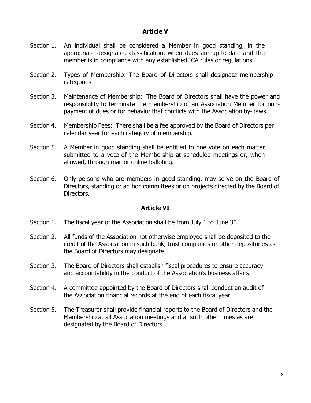# **Article V**

- Section 1. An individual shall be considered a Member in good standing, in the appropriate designated classification, when dues are up-to-date and the member is in compliance with any established ICA rules or regulations.
- Section 2. Types of Membership: The Board of Directors shall designate membership categories.
- Section 3. Maintenance of Membership: The Board of Directors shall have the power and responsibility to terminate the membership of an Association Member for nonpayment of dues or for behavior that conflicts with the Association by- laws.
- Section 4. Membership Fees: There shall be a fee approved by the Board of Directors per calendar year for each category of membership.
- Section 5. A Member in good standing shall be entitled to one vote on each matter submitted to a vote of the Membership at scheduled meetings or, when allowed, through mail or online balloting.
- Section 6. Only persons who are members in good standing, may serve on the Board of Directors, standing or ad hoc committees or on projects directed by the Board of Directors.

# **Article VI**

- Section 1. The fiscal year of the Association shall be from July 1 to June 30.
- Section 2. All funds of the Association not otherwise employed shall be deposited to the credit of the Association in such bank, trust companies or other depositories as the Board of Directors may designate.
- Section 3. The Board of Directors shall establish fiscal procedures to ensure accuracy and accountability in the conduct of the Association's business affairs.
- Section 4. A committee appointed by the Board of Directors shall conduct an audit of the Association financial records at the end of each fiscal year.
- Section 5. The Treasurer shall provide financial reports to the Board of Directors and the Membership at all Association meetings and at such other times as are designated by the Board of Directors.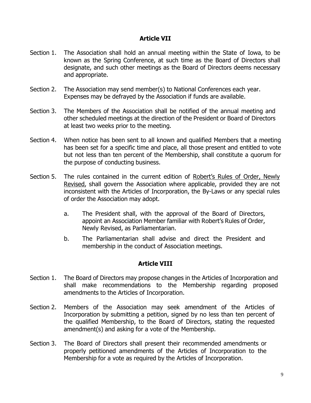# **Article VII**

- Section 1. The Association shall hold an annual meeting within the State of Iowa, to be known as the Spring Conference, at such time as the Board of Directors shall designate, and such other meetings as the Board of Directors deems necessary and appropriate.
- Section 2. The Association may send member(s) to National Conferences each year. Expenses may be defrayed by the Association if funds are available.
- Section 3. The Members of the Association shall be notified of the annual meeting and other scheduled meetings at the direction of the President or Board of Directors at least two weeks prior to the meeting.
- Section 4. When notice has been sent to all known and qualified Members that a meeting has been set for a specific time and place, all those present and entitled to vote but not less than ten percent of the Membership, shall constitute a quorum for the purpose of conducting business.
- Section 5. The rules contained in the current edition of Robert's Rules of Order, Newly Revised, shall govern the Association where applicable, provided they are not inconsistent with the Articles of Incorporation, the By-Laws or any special rules of order the Association may adopt.
	- a. The President shall, with the approval of the Board of Directors, appoint an Association Member familiar with Robert's Rules of Order, Newly Revised, as Parliamentarian.
	- b. The Parliamentarian shall advise and direct the President and membership in the conduct of Association meetings.

# **Article VIII**

- Section 1. The Board of Directors may propose changes in the Articles of Incorporation and shall make recommendations to the Membership regarding proposed amendments to the Articles of Incorporation.
- Section 2. Members of the Association may seek amendment of the Articles of Incorporation by submitting a petition, signed by no less than ten percent of the qualified Membership, to the Board of Directors, stating the requested amendment(s) and asking for a vote of the Membership.
- Section 3. The Board of Directors shall present their recommended amendments or properly petitioned amendments of the Articles of Incorporation to the Membership for a vote as required by the Articles of Incorporation.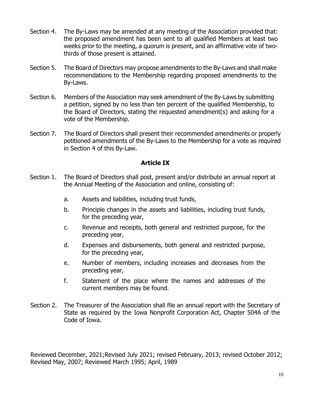- Section 4. The By-Laws may be amended at any meeting of the Association provided that: the proposed amendment has been sent to all qualified Members at least two weeks prior to the meeting, a quorum is present, and an affirmative vote of twothirds of those present is attained.
- Section 5. The Board of Directors may propose amendments to the By-Laws and shall make recommendations to the Membership regarding proposed amendments to the By-Laws.
- Section 6. Members of the Association may seek amendment of the By-Laws by submitting a petition, signed by no less than ten percent of the qualified Membership, to the Board of Directors, stating the requested amendment(s) and asking for a vote of the Membership.
- Section 7. The Board of Directors shall present their recommended amendments or properly petitioned amendments of the By-Laws to the Membership for a vote as required in Section 4 of this By-Law.

# **Article IX**

- Section 1. The Board of Directors shall post, present and/or distribute an annual report at the Annual Meeting of the Association and online, consisting of:
	- a. Assets and liabilities, including trust funds,
	- b. Principle changes in the assets and liabilities, including trust funds, for the preceding year,
	- c. Revenue and receipts, both general and restricted purpose, for the preceding year,
	- d. Expenses and disbursements, both general and restricted purpose, for the preceding year,
	- e. Number of members, including increases and decreases from the preceding year,
	- f. Statement of the place where the names and addresses of the current members may be found.
- Section 2. The Treasurer of the Association shall file an annual report with the Secretary of State as required by the Iowa Nonprofit Corporation Act, Chapter 504A of the Code of Iowa.

Reviewed December, 2021;Revised July 2021; revised February, 2013; revised October 2012; Revised May, 2007; Reviewed March 1995; April, 1989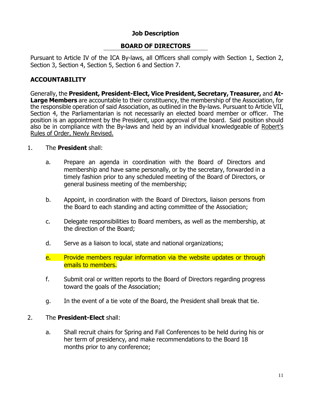# **Job Description**

# **BOARD OF DIRECTORS**

Pursuant to Article IV of the ICA By-laws, all Officers shall comply with Section 1, Section 2, Section 3, Section 4, Section 5, Section 6 and Section 7.

# **ACCOUNTABILITY**

Generally, the **President, President-Elect, Vice President, Secretary, Treasurer,** and **At-Large Members** are accountable to their constituency, the membership of the Association, for the responsible operation of said Association, as outlined in the By-laws. Pursuant to Article VII, Section 4, the Parliamentarian is not necessarily an elected board member or officer. The position is an appointment by the President, upon approval of the board. Said position should also be in compliance with the By-laws and held by an individual knowledgeable of Robert's Rules of Order, Newly Revised.

#### 1. The **President** shall:

- a. Prepare an agenda in coordination with the Board of Directors and membership and have same personally, or by the secretary, forwarded in a timely fashion prior to any scheduled meeting of the Board of Directors, or general business meeting of the membership;
- b. Appoint, in coordination with the Board of Directors, liaison persons from the Board to each standing and acting committee of the Association;
- c. Delegate responsibilities to Board members, as well as the membership, at the direction of the Board;
- d. Serve as a liaison to local, state and national organizations;
- e. Provide members regular information via the website updates or through emails to members.
- f. Submit oral or written reports to the Board of Directors regarding progress toward the goals of the Association;
- g. In the event of a tie vote of the Board, the President shall break that tie.

#### 2. The **President-Elect** shall:

a. Shall recruit chairs for Spring and Fall Conferences to be held during his or her term of presidency, and make recommendations to the Board 18 months prior to any conference;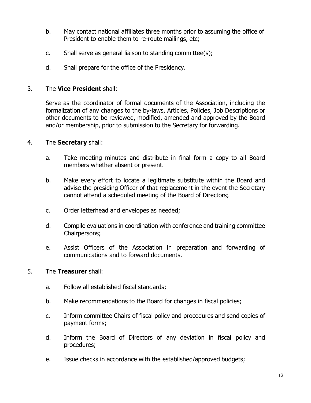- b. May contact national affiliates three months prior to assuming the office of President to enable them to re-route mailings, etc;
- c. Shall serve as general liaison to standing committee(s);
- d. Shall prepare for the office of the Presidency.

#### 3. The **Vice President** shall:

Serve as the coordinator of formal documents of the Association, including the formalization of any changes to the by-laws, Articles, Policies, Job Descriptions or other documents to be reviewed, modified, amended and approved by the Board and/or membership, prior to submission to the Secretary for forwarding.

#### 4. The **Secretary** shall:

- a. Take meeting minutes and distribute in final form a copy to all Board members whether absent or present.
- b. Make every effort to locate a legitimate substitute within the Board and advise the presiding Officer of that replacement in the event the Secretary cannot attend a scheduled meeting of the Board of Directors;
- c. Order letterhead and envelopes as needed;
- d. Compile evaluations in coordination with conference and training committee Chairpersons;
- e. Assist Officers of the Association in preparation and forwarding of communications and to forward documents.

#### 5. The **Treasurer** shall:

- a. Follow all established fiscal standards;
- b. Make recommendations to the Board for changes in fiscal policies;
- c. Inform committee Chairs of fiscal policy and procedures and send copies of payment forms;
- d. Inform the Board of Directors of any deviation in fiscal policy and procedures;
- e. Issue checks in accordance with the established/approved budgets;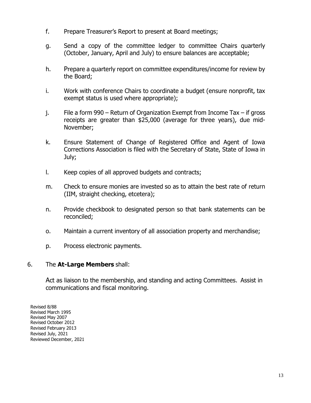- f. Prepare Treasurer's Report to present at Board meetings;
- g. Send a copy of the committee ledger to committee Chairs quarterly (October, January, April and July) to ensure balances are acceptable;
- h. Prepare a quarterly report on committee expenditures/income for review by the Board;
- i. Work with conference Chairs to coordinate a budget (ensure nonprofit, tax exempt status is used where appropriate);
- j. File a form 990 Return of Organization Exempt from Income Tax if gross receipts are greater than \$25,000 (average for three years), due mid-November;
- k. Ensure Statement of Change of Registered Office and Agent of Iowa Corrections Association is filed with the Secretary of State, State of Iowa in July;
- l. Keep copies of all approved budgets and contracts;
- m. Check to ensure monies are invested so as to attain the best rate of return (IIM, straight checking, etcetera);
- n. Provide checkbook to designated person so that bank statements can be reconciled;
- o. Maintain a current inventory of all association property and merchandise;
- p. Process electronic payments.

#### 6. The **At-Large Members** shall:

Act as liaison to the membership, and standing and acting Committees. Assist in communications and fiscal monitoring.

Revised 8/88 Revised March 1995 Revised May 2007 Revised October 2012 Revised February 2013 Revised July, 2021 Reviewed December, 2021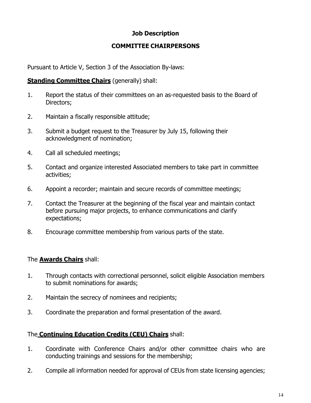# **Job Description**

# **COMMITTEE CHAIRPERSONS**

Pursuant to Article V, Section 3 of the Association By-laws:

#### **Standing Committee Chairs** (generally) shall:

- 1. Report the status of their committees on an as-requested basis to the Board of Directors;
- 2. Maintain a fiscally responsible attitude;
- 3. Submit a budget request to the Treasurer by July 15, following their acknowledgment of nomination;
- 4. Call all scheduled meetings;
- 5. Contact and organize interested Associated members to take part in committee activities;
- 6. Appoint a recorder; maintain and secure records of committee meetings;
- 7. Contact the Treasurer at the beginning of the fiscal year and maintain contact before pursuing major projects, to enhance communications and clarify expectations;
- 8. Encourage committee membership from various parts of the state.

# The **Awards Chairs** shall:

- 1. Through contacts with correctional personnel, solicit eligible Association members to submit nominations for awards;
- 2. Maintain the secrecy of nominees and recipients;
- 3. Coordinate the preparation and formal presentation of the award.

# The **Continuing Education Credits (CEU) Chairs** shall:

- 1. Coordinate with Conference Chairs and/or other committee chairs who are conducting trainings and sessions for the membership;
- 2. Compile all information needed for approval of CEUs from state licensing agencies;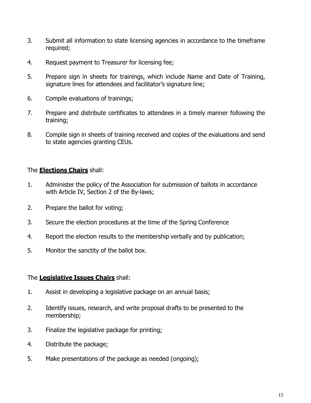- 3. Submit all information to state licensing agencies in accordance to the timeframe required;
- 4. Request payment to Treasurer for licensing fee;
- 5. Prepare sign in sheets for trainings, which include Name and Date of Training, signature lines for attendees and facilitator's signature line;
- 6. Compile evaluations of trainings;
- 7. Prepare and distribute certificates to attendees in a timely manner following the training;
- 8. Compile sign in sheets of training received and copies of the evaluations and send to state agencies granting CEUs.

# The **Elections Chairs** shall:

- 1. Administer the policy of the Association for submission of ballots in accordance with Article IV, Section 2 of the By-laws;
- 2. Prepare the ballot for voting;
- 3. Secure the election procedures at the time of the Spring Conference
- 4. Report the election results to the membership verbally and by publication;
- 5. Monitor the sanctity of the ballot box.

# The **Legislative Issues Chairs** shall:

- 1. Assist in developing a legislative package on an annual basis;
- 2. Identify issues, research, and write proposal drafts to be presented to the membership;
- 3. Finalize the legislative package for printing;
- 4. Distribute the package;
- 5. Make presentations of the package as needed (ongoing);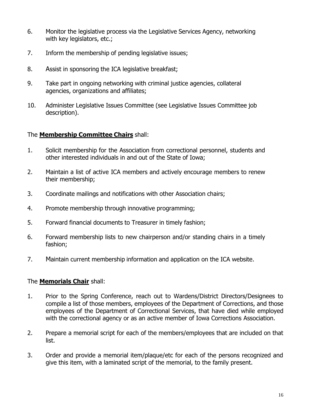- 6. Monitor the legislative process via the Legislative Services Agency, networking with key legislators, etc.;
- 7. Inform the membership of pending legislative issues;
- 8. Assist in sponsoring the ICA legislative breakfast;
- 9. Take part in ongoing networking with criminal justice agencies, collateral agencies, organizations and affiliates;
- 10. Administer Legislative Issues Committee (see Legislative Issues Committee job description).

# The **Membership Committee Chairs** shall:

- 1. Solicit membership for the Association from correctional personnel, students and other interested individuals in and out of the State of Iowa;
- 2. Maintain a list of active ICA members and actively encourage members to renew their membership;
- 3. Coordinate mailings and notifications with other Association chairs;
- 4. Promote membership through innovative programming;
- 5. Forward financial documents to Treasurer in timely fashion;
- 6. Forward membership lists to new chairperson and/or standing chairs in a timely fashion;
- 7. Maintain current membership information and application on the ICA website.

# The **Memorials Chair** shall:

- 1. Prior to the Spring Conference, reach out to Wardens/District Directors/Designees to compile a list of those members, employees of the Department of Corrections, and those employees of the Department of Correctional Services, that have died while employed with the correctional agency or as an active member of Iowa Corrections Association.
- 2. Prepare a memorial script for each of the members/employees that are included on that list.
- 3. Order and provide a memorial item/plaque/etc for each of the persons recognized and give this item, with a laminated script of the memorial, to the family present.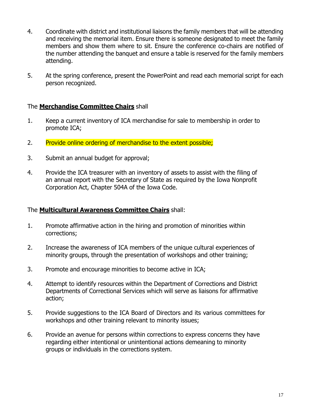- 4. Coordinate with district and institutional liaisons the family members that will be attending and receiving the memorial item. Ensure there is someone designated to meet the family members and show them where to sit. Ensure the conference co-chairs are notified of the number attending the banquet and ensure a table is reserved for the family members attending.
- 5. At the spring conference, present the PowerPoint and read each memorial script for each person recognized.

# The **Merchandise Committee Chairs** shall

- 1. Keep a current inventory of ICA merchandise for sale to membership in order to promote ICA;
- 2. Provide online ordering of merchandise to the extent possible;
- 3. Submit an annual budget for approval;
- 4. Provide the ICA treasurer with an inventory of assets to assist with the filing of an annual report with the Secretary of State as required by the Iowa Nonprofit Corporation Act, Chapter 504A of the Iowa Code.

# The **Multicultural Awareness Committee Chairs** shall:

- 1. Promote affirmative action in the hiring and promotion of minorities within corrections;
- 2. Increase the awareness of ICA members of the unique cultural experiences of minority groups, through the presentation of workshops and other training;
- 3. Promote and encourage minorities to become active in ICA;
- 4. Attempt to identify resources within the Department of Corrections and District Departments of Correctional Services which will serve as liaisons for affirmative action;
- 5. Provide suggestions to the ICA Board of Directors and its various committees for workshops and other training relevant to minority issues;
- 6. Provide an avenue for persons within corrections to express concerns they have regarding either intentional or unintentional actions demeaning to minority groups or individuals in the corrections system.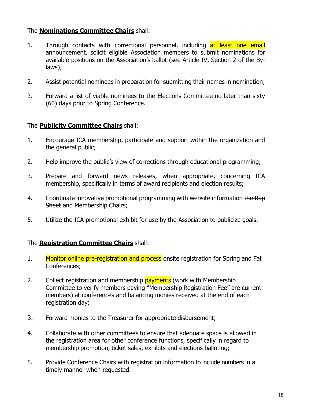# The **Nominations Committee Chairs** shall:

- 1. Through contacts with correctional personnel, including at least one email announcement, solicit eligible Association members to submit nominations for available positions on the Association's ballot (see Article IV, Section 2 of the Bylaws);
- 2. Assist potential nominees in preparation for submitting their names in nomination;
- 3. Forward a list of viable nominees to the Elections Committee no later than sixty (60) days prior to Spring Conference.

# The **Publicity Committee Chairs** shall:

- 1. Encourage ICA membership, participate and support within the organization and the general public;
- 2. Help improve the public's view of corrections through educational programming;
- 3. Prepare and forward news releases, when appropriate, concerning ICA membership, specifically in terms of award recipients and election results;
- 4. Coordinate innovative promotional programming with website information the Rap Sheet and Membership Chairs;
- 5. Utilize the ICA promotional exhibit for use by the Association to publicize goals.

# The **Registration Committee Chairs** shall:

- 1. Monitor online pre-registration and process onsite registration for Spring and Fall Conferences;
- 2. Collect registration and membership **payments** (work with Membership Committee to verify members paying "Membership Registration Fee" are current members) at conferences and balancing monies received at the end of each registration day;
- 3. Forward monies to the Treasurer for appropriate disbursement;
- 4. Collaborate with other committees to ensure that adequate space is allowed in the registration area for other conference functions, specifically in regard to membership promotion, ticket sales, exhibits and elections balloting;
- 5. Provide Conference Chairs with registration information to include numbers in a timely manner when requested.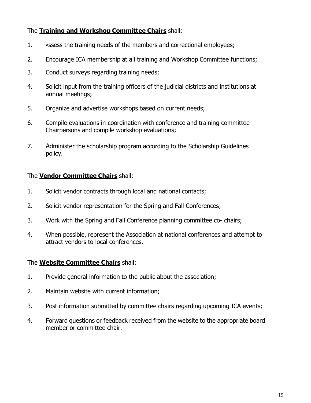# The **Training and Workshop Committee Chairs** shall:

- 1. Assess the training needs of the members and correctional employees;
- 2. Encourage ICA membership at all training and Workshop Committee functions;
- 3. Conduct surveys regarding training needs;
- 4. Solicit input from the training officers of the judicial districts and institutions at annual meetings;
- 5. Organize and advertise workshops based on current needs;
- 6. Compile evaluations in coordination with conference and training committee Chairpersons and compile workshop evaluations;
- 7. Administer the scholarship program according to the Scholarship Guidelines policy.

# The **Vendor Committee Chairs** shall:

- 1. Solicit vendor contracts through local and national contacts;
- 2. Solicit vendor representation for the Spring and Fall Conferences;
- 3. Work with the Spring and Fall Conference planning committee co- chairs;
- 4. When possible, represent the Association at national conferences and attempt to attract vendors to local conferences.

# The **Website Committee Chairs** shall:

- 1. Provide general information to the public about the association;
- 2. Maintain website with current information;
- 3. Post information submitted by committee chairs regarding upcoming ICA events;
- 4. Forward questions or feedback received from the website to the appropriate board member or committee chair.